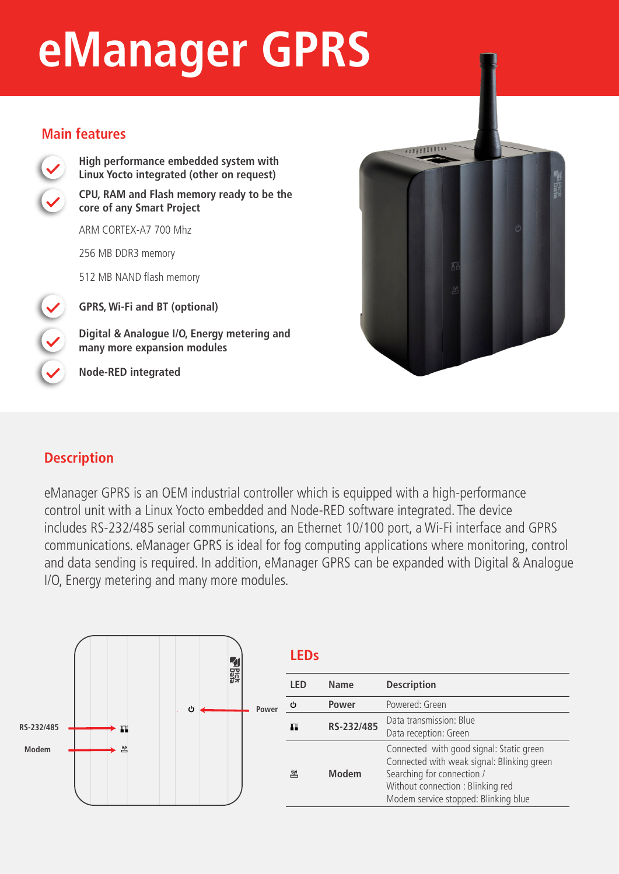# **eManager GPRS**

#### **Main features**



**High performance embedded system with Linux Yocto integrated (other on request) CPU, RAM and Flash memory ready to be the core of any Smart Project** 

ARM CORTEX-A7 700 Mhz

256 MB DDR3 memory

512 MB NAND flash memory

**GPRS, Wi-Fi and BT (optional)**

**Digital & Analogue I/O, Energy metering and many more expansion modules**

**Node-RED integrated**



## **Description**

eManager GPRS is an OEM industrial controller which is equipped with a high-performance control unit with a Linux Yocto embedded and Node-RED software integrated. The device includes RS-232/485 serial communications, an Ethernet 10/100 port, a Wi-Fi interface and GPRS communications. eManager GPRS is ideal for fog computing applications where monitoring, control and data sending is required. In addition, eManager GPRS can be expanded with Digital & Analogue I/O, Energy metering and many more modules.



|    | <b>LEDs</b> |              |                                                                                                                                                                                                  |
|----|-------------|--------------|--------------------------------------------------------------------------------------------------------------------------------------------------------------------------------------------------|
| ٥r | LED         | Name         | <b>Description</b>                                                                                                                                                                               |
|    | ረካ          | Power        | Powered: Green                                                                                                                                                                                   |
|    | ш           | RS-232/485   | Data transmission: Blue<br>Data reception: Green                                                                                                                                                 |
|    | 凹           | <b>Modem</b> | Connected with good signal: Static green<br>Connected with weak signal: Blinking green<br>Searching for connection /<br>Without connection: Blinking red<br>Modem service stopped: Blinking blue |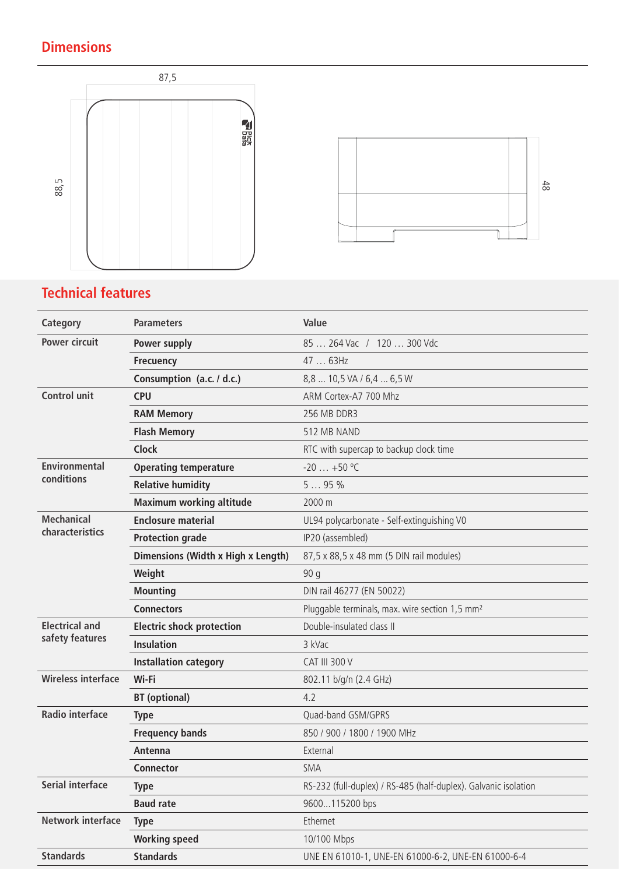## **Dimensions**





## **Technical features**

| <b>Category</b>           | <b>Parameters</b>                  | Value                                                           |
|---------------------------|------------------------------------|-----------------------------------------------------------------|
| <b>Power circuit</b>      | Power supply                       | 85  264 Vac / 120  300 Vdc                                      |
|                           | <b>Frecuency</b>                   | 47  63Hz                                                        |
|                           | Consumption (a.c. / d.c.)          | 8,8  10,5 VA / 6,4  6,5 W                                       |
| <b>Control unit</b>       | <b>CPU</b>                         | ARM Cortex-A7 700 Mhz                                           |
|                           | <b>RAM Memory</b>                  | 256 MB DDR3                                                     |
|                           | <b>Flash Memory</b>                | 512 MB NAND                                                     |
|                           | <b>Clock</b>                       | RTC with supercap to backup clock time                          |
| <b>Environmental</b>      | <b>Operating temperature</b>       | $-20$ $+50$ °C                                                  |
| conditions                | <b>Relative humidity</b>           | 595%                                                            |
|                           | <b>Maximum working altitude</b>    | 2000 m                                                          |
| <b>Mechanical</b>         | <b>Enclosure material</b>          | UL94 polycarbonate - Self-extinguishing V0                      |
| characteristics           | <b>Protection grade</b>            | IP20 (assembled)                                                |
|                           | Dimensions (Width x High x Length) | 87,5 x 88,5 x 48 mm (5 DIN rail modules)                        |
|                           | Weight                             | 90q                                                             |
|                           | <b>Mounting</b>                    | DIN rail 46277 (EN 50022)                                       |
|                           | <b>Connectors</b>                  | Pluggable terminals, max. wire section 1,5 mm <sup>2</sup>      |
| <b>Electrical and</b>     | <b>Electric shock protection</b>   | Double-insulated class II                                       |
| safety features           | <b>Insulation</b>                  | 3 kVac                                                          |
|                           | <b>Installation category</b>       | <b>CAT III 300 V</b>                                            |
| <b>Wireless interface</b> | Wi-Fi                              | 802.11 b/g/n (2.4 GHz)                                          |
|                           | <b>BT</b> (optional)               | 4.2                                                             |
| <b>Radio interface</b>    | <b>Type</b>                        | Quad-band GSM/GPRS                                              |
|                           | <b>Frequency bands</b>             | 850 / 900 / 1800 / 1900 MHz                                     |
|                           | Antenna                            | External                                                        |
|                           | <b>Connector</b>                   | <b>SMA</b>                                                      |
| <b>Serial interface</b>   | <b>Type</b>                        | RS-232 (full-duplex) / RS-485 (half-duplex). Galvanic isolation |
|                           | <b>Baud rate</b>                   | 9600115200 bps                                                  |
| Network interface         | <b>Type</b>                        | Ethernet                                                        |
|                           | <b>Working speed</b>               | 10/100 Mbps                                                     |
| <b>Standards</b>          | <b>Standards</b>                   | UNE EN 61010-1, UNE-EN 61000-6-2, UNE-EN 61000-6-4              |
|                           |                                    |                                                                 |